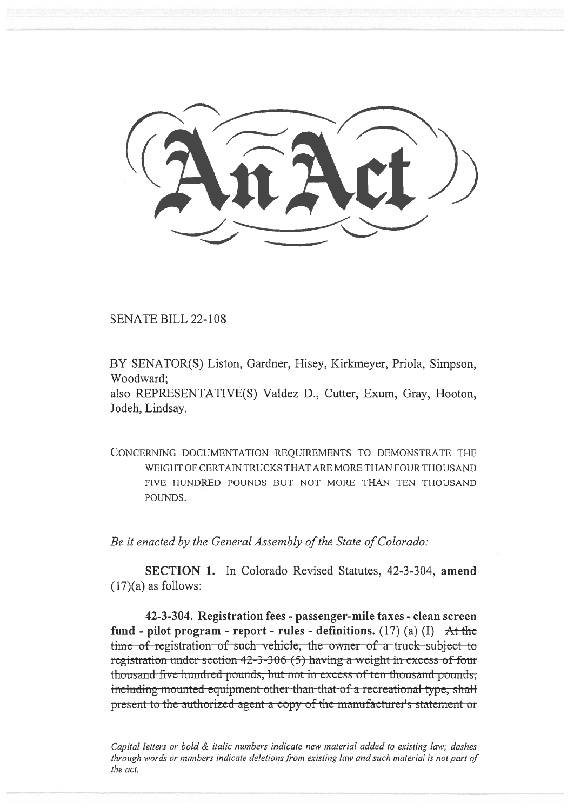SENATE BILL 22-108

BY SENATOR(S) Liston, Gardner, Hisey, Kirkmeyer, Priola, Simpson, Woodward;

also REPRESENTATIVE(S) Valdez D., Cutter, Exum, Gray, Hooton, Jodeh, Lindsay.

CONCERNING DOCUMENTATION REQUIREMENTS TO DEMONSTRATE THE WEIGHT OF CERTAIN TRUCKS THAT ARE MORE THAN FOUR THOUSAND FIVE HUNDRED POUNDS BUT NOT MORE THAN TEN THOUSAND POUNDS.

Be it enacted by the General Assembly of the State of Colorado:

SECTION 1. In Colorado Revised Statutes, 42-3-304, amend  $(17)(a)$  as follows:

42-3-304. Registration fees - passenger-mile taxes - clean screen fund - pilot program - report - rules - definitions. (17) (a) (I) At the time of registration of such vehicle, the owner of a truck subject to registration under section  $42-3-306(5)$  having a weight in excess of four thousand-five-hundred-pounds; but not in excess of ten thousand-pounds; including mounted equipment other than that of a recreational type, shall present to the authorized-agent- $\alpha$  copy of the manufacturer's statement-or

Capital letters or bold & italic numbers indicate new material added to existing law; dashes through words or numbers indicate deletions from existing law and such material is not part of the act.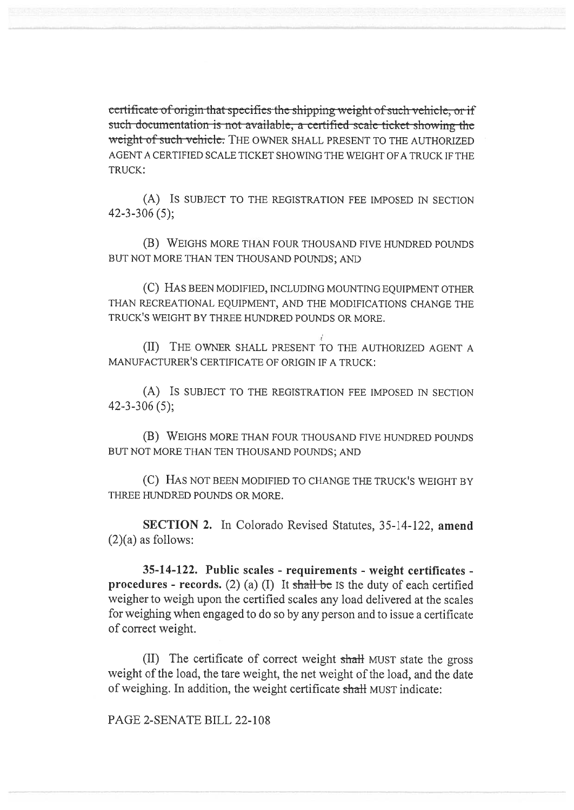certificate of origin that specifies the shipping weight of such vehicle, or if such documentation is not available, a certified scale ticket showing the weight of such vehicle. THE OWNER SHALL PRESENT TO THE AUTHORIZED AGENT A CERTIFIED SCALE TICKET SHOWING THE WEIGHT OF A TRUCK IF THE TRUCK:

(A) IS SUBJECT TO THE REGISTRATION FEE IMPOSED IN SECTION 42-3-306 (5);

(B) WEIGHS MORE THAN FOUR THOUSAND FIVE HUNDRED POUNDS BUT NOT MORE THAN TEN THOUSAND POUNDS; AND

(C) HAS BEEN MODIFIED, INCLUDING MOUNTING EQUIPMENT OTHER THAN RECREATIONAL EQUIPMENT, AND THE MODIFICATIONS CHANGE THE TRUCK'S WEIGHT BY THREE HUNDRED POUNDS OR MORE.

(II) THE OWNER SHALL PRESENT TO THE AUTHORIZED AGENT A MANUFACTURER'S CERTIFICATE OF ORIGIN IF A TRUCK:

(A) IS SUBJECT TO THE REGISTRATION FEE IMPOSED IN SECTION 42-3-306 (5);

(B) WEIGHS MORE THAN FOUR THOUSAND FIVE HUNDRED POUNDS BUT NOT MORE THAN TEN THOUSAND POUNDS; AND

(C) HAS NOT BEEN MODIFIED TO CHANGE THE TRUCK'S WEIGHT BY THREE HUNDRED POUNDS OR MORE.

SECTION 2. In Colorado Revised Statutes, 35-14-122, amend  $(2)(a)$  as follows:

35-14-122. Public scales - requirements - weight certificates **procedures - records.** (2) (a) (I) It shall be IS the duty of each certified weigher to weigh upon the certified scales any load delivered at the scales for weighing when engaged to do so by any person and to issue a certificate of correct weight.

(II) The certificate of correct weight shall MUST state the gross weight of the load, the tare weight, the net weight of the load, and the date of weighing. In addition, the weight certificate shall MUST indicate:

PAGE 2-SENATE BILL 22-108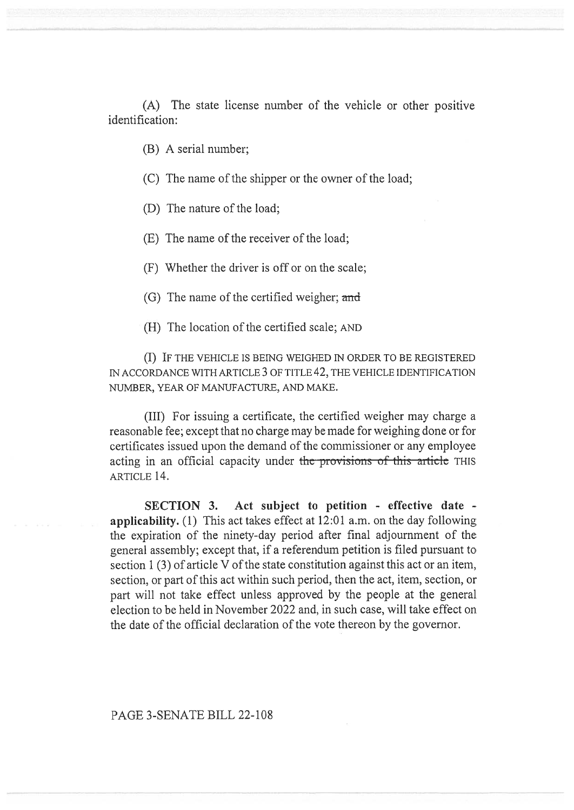(A) The state license number of the vehicle or other positive identification:

(B) A serial number;

(C) The name of the shipper or the owner of the load;

(D) The nature of the load;

(E) The name of the receiver of the load;

(F) Whether the driver is off or on the scale;

(G) The name of the certified weigher; and

(H) The location of the certified scale; AND

(I) IF THE VEHICLE IS BEING WEIGHED IN ORDER TO BE REGISTERED IN ACCORDANCE WITH ARTICLE 3 OF TITLE 42, THE VEHICLE IDENTIFICATION NUMBER, YEAR OF MANUFACTURE, AND MAKE.

(III) For issuing a certificate, the certified weigher may charge a reasonable fee; except that no charge may be made for weighing done or for certificates issued upon the demand of the commissioner or any employee acting in an official capacity under the provisions of this article THIS ARTICLE 14.

SECTION 3. Act subject to petition - effective date applicability. (1) This act takes effect at 12:01 a.m. on the day following the expiration of the ninety-day period after final adjournment of the general assembly; except that, if a referendum petition is filed pursuant to section 1 (3) of article V of the state constitution against this act or an item, section, or part of this act within such period, then the act, item, section, or part will not take effect unless approved by the people at the general election to be held in November 2022 and, in such case, will take effect on the date of the official declaration of the vote thereon by the governor.

## PAGE 3-SENATE BILL 22-108